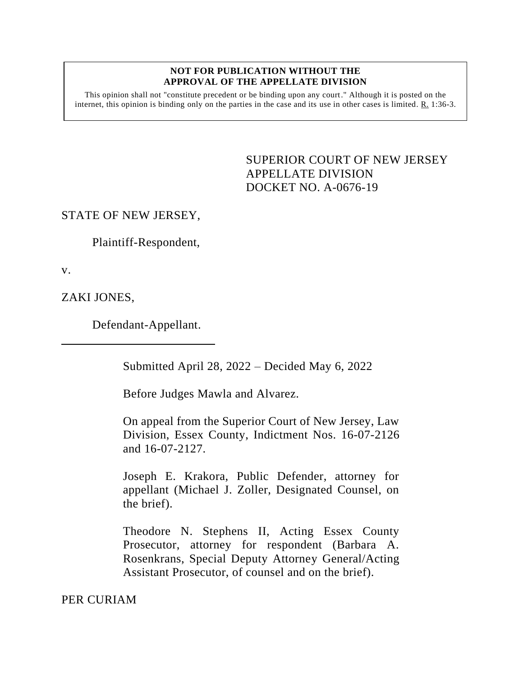#### **NOT FOR PUBLICATION WITHOUT THE APPROVAL OF THE APPELLATE DIVISION**

This opinion shall not "constitute precedent or be binding upon any court." Although it is posted on the internet, this opinion is binding only on the parties in the case and its use in other cases is limited. R. 1:36-3.

> <span id="page-0-0"></span>SUPERIOR COURT OF NEW JERSEY APPELLATE DIVISION DOCKET NO. A-0676-19

# STATE OF NEW JERSEY,

Plaintiff-Respondent,

v.

ZAKI JONES,

Defendant-Appellant.

Submitted April 28, 2022 – Decided May 6, 2022

Before Judges Mawla and Alvarez.

On appeal from the Superior Court of New Jersey, Law Division, Essex County, Indictment Nos. 16-07-2126 and 16-07-2127.

Joseph E. Krakora, Public Defender, attorney for appellant (Michael J. Zoller, Designated Counsel, on the brief).

Theodore N. Stephens II, Acting Essex County Prosecutor, attorney for respondent (Barbara A. Rosenkrans, Special Deputy Attorney General/Acting Assistant Prosecutor, of counsel and on the brief).

PER CURIAM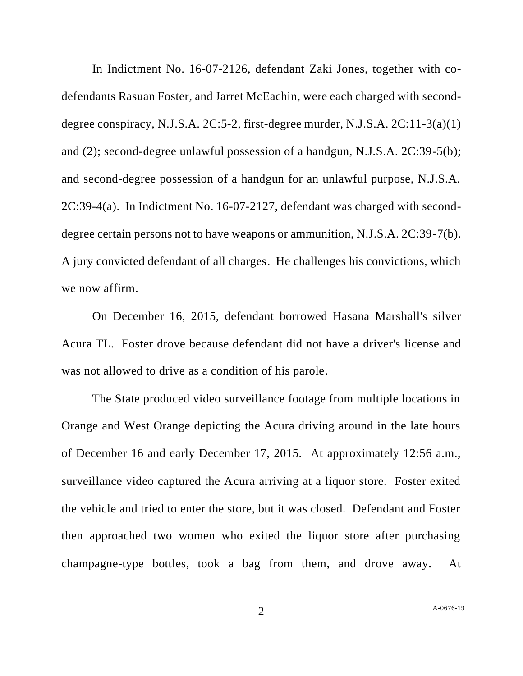In Indictment No. 16-07-2126, defendant Zaki Jones, together with codefendants Rasuan Foster, and Jarret McEachin, were each charged with seconddegree conspiracy, N.J.S.A.  $2C:5-2$ , first-degree murder, N.J.S.A.  $2C:11-3(a)(1)$ and (2); second-degree unlawful possession of a handgun, N.J.S.A. 2C:39-5(b); and second-degree possession of a handgun for an unlawful purpose, N.J.S.A. 2C:39-4(a). In Indictment No. 16-07-2127, defendant was charged with seconddegree certain persons not to have weapons or ammunition, N.J.S.A. 2C:39-7(b). A jury convicted defendant of all charges. He challenges his convictions, which we now affirm.

On December 16, 2015, defendant borrowed Hasana Marshall's silver Acura TL. Foster drove because defendant did not have a driver's license and was not allowed to drive as a condition of his parole.

The State produced video surveillance footage from multiple locations in Orange and West Orange depicting the Acura driving around in the late hours of December 16 and early December 17, 2015. At approximately 12:56 a.m., surveillance video captured the Acura arriving at a liquor store. Foster exited the vehicle and tried to enter the store, but it was closed. Defendant and Foster then approached two women who exited the liquor store after purchasing champagne-type bottles, took a bag from them, and drove away. At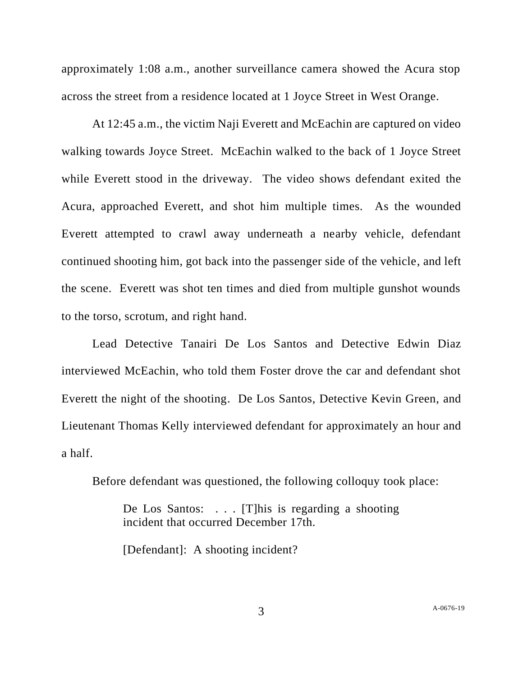approximately 1:08 a.m., another surveillance camera showed the Acura stop across the street from a residence located at 1 Joyce Street in West Orange.

At 12:45 a.m., the victim Naji Everett and McEachin are captured on video walking towards Joyce Street. McEachin walked to the back of 1 Joyce Street while Everett stood in the driveway. The video shows defendant exited the Acura, approached Everett, and shot him multiple times. As the wounded Everett attempted to crawl away underneath a nearby vehicle, defendant continued shooting him, got back into the passenger side of the vehicle, and left the scene. Everett was shot ten times and died from multiple gunshot wounds to the torso, scrotum, and right hand.

Lead Detective Tanairi De Los Santos and Detective Edwin Diaz interviewed McEachin, who told them Foster drove the car and defendant shot Everett the night of the shooting. De Los Santos, Detective Kevin Green, and Lieutenant Thomas Kelly interviewed defendant for approximately an hour and a half.

Before defendant was questioned, the following colloquy took place:

De Los Santos: . . . [T] his is regarding a shooting incident that occurred December 17th.

[Defendant]: A shooting incident?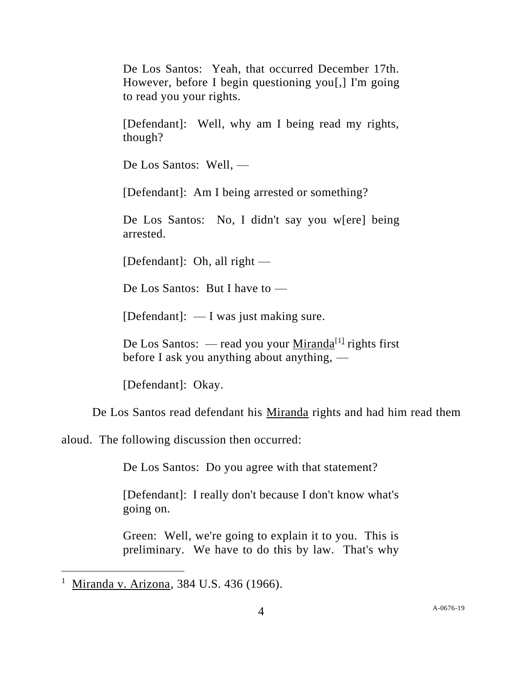De Los Santos: Yeah, that occurred December 17th. However, before I begin questioning you[,] I'm going to read you your rights.

[Defendant]: Well, why am I being read my rights, though?

De Los Santos: Well, —

[Defendant]: Am I being arrested or something?

De Los Santos: No, I didn't say you w[ere] being arrested.

[Defendant]: Oh, all right —

De Los Santos: But I have to —

 $[Defendant]: - I was just making sure.$ 

De Los Santos:  $-$  read you your  $Minanda<sup>[1]</sup>$  rights first before I ask you anything about anything, —

[Defendant]: Okay.

De Los Santos read defendant his Miranda rights and had him read them

aloud. The following discussion then occurred:

De Los Santos: Do you agree with that statement?

[Defendant]: I really don't because I don't know what's going on.

Green: Well, we're going to explain it to you. This is preliminary. We have to do this by law. That's why

<sup>&</sup>lt;sup>1</sup> Miranda v. Arizona, 384 U.S. 436 (1966).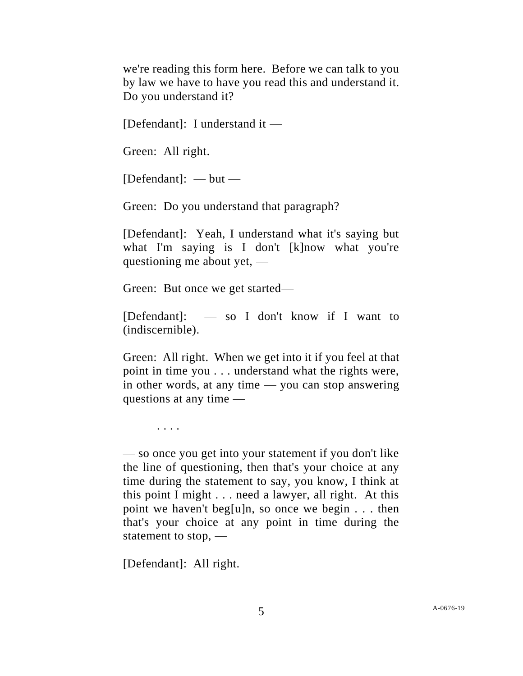we're reading this form here. Before we can talk to you by law we have to have you read this and understand it. Do you understand it?

[Defendant]: I understand it —

Green: All right.

 $[Defendant]: - but -$ 

Green: Do you understand that paragraph?

[Defendant]: Yeah, I understand what it's saying but what I'm saying is I don't [k]now what you're questioning me about yet, —

Green: But once we get started—

[Defendant]: — so I don't know if I want to (indiscernible).

Green: All right. When we get into it if you feel at that point in time you . . . understand what the rights were, in other words, at any time — you can stop answering questions at any time —

. . . .

— so once you get into your statement if you don't like the line of questioning, then that's your choice at any time during the statement to say, you know, I think at this point I might . . . need a lawyer, all right. At this point we haven't beg[u]n, so once we begin . . . then that's your choice at any point in time during the statement to stop, —

[Defendant]: All right.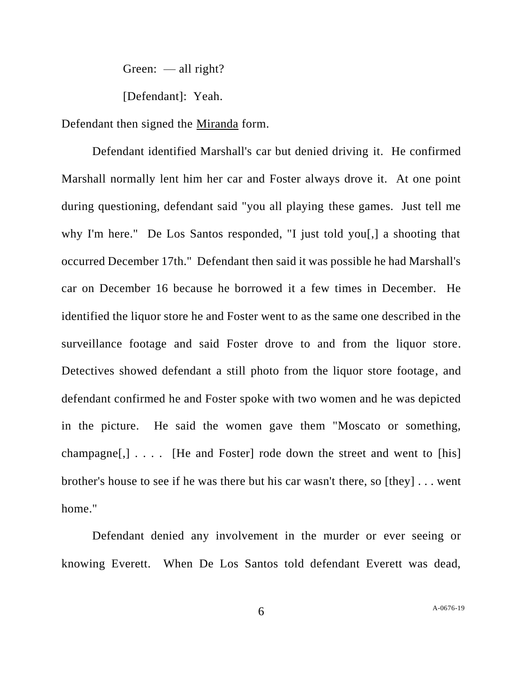Green:  $-\text{all right}$ ?

[Defendant]: Yeah.

Defendant then signed the Miranda form.

Defendant identified Marshall's car but denied driving it. He confirmed Marshall normally lent him her car and Foster always drove it. At one point during questioning, defendant said "you all playing these games. Just tell me why I'm here." De Los Santos responded, "I just told you[,] a shooting that occurred December 17th." Defendant then said it was possible he had Marshall's car on December 16 because he borrowed it a few times in December. He identified the liquor store he and Foster went to as the same one described in the surveillance footage and said Foster drove to and from the liquor store. Detectives showed defendant a still photo from the liquor store footage, and defendant confirmed he and Foster spoke with two women and he was depicted in the picture. He said the women gave them "Moscato or something, champagne $[$ , $]$ .... [He and Foster] rode down the street and went to [his] brother's house to see if he was there but his car wasn't there, so [they] . . . went home."

Defendant denied any involvement in the murder or ever seeing or knowing Everett. When De Los Santos told defendant Everett was dead,

6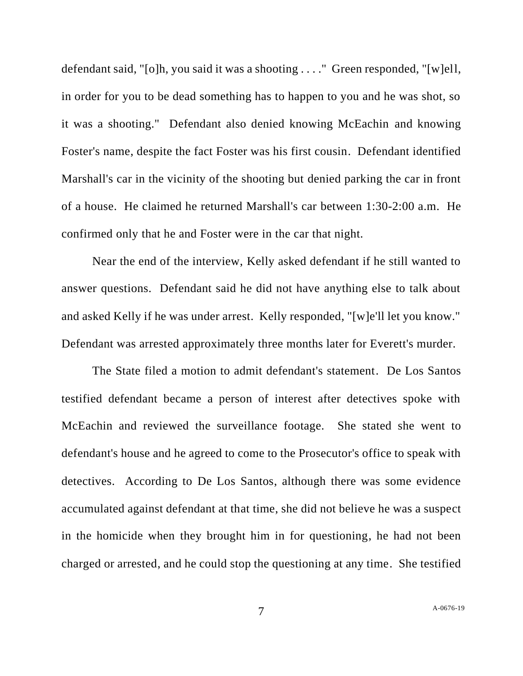defendant said, "[o]h, you said it was a shooting . . . ." Green responded, "[w]ell, in order for you to be dead something has to happen to you and he was shot, so it was a shooting." Defendant also denied knowing McEachin and knowing Foster's name, despite the fact Foster was his first cousin. Defendant identified Marshall's car in the vicinity of the shooting but denied parking the car in front of a house. He claimed he returned Marshall's car between 1:30-2:00 a.m. He confirmed only that he and Foster were in the car that night.

Near the end of the interview, Kelly asked defendant if he still wanted to answer questions. Defendant said he did not have anything else to talk about and asked Kelly if he was under arrest. Kelly responded, "[w]e'll let you know." Defendant was arrested approximately three months later for Everett's murder.

The State filed a motion to admit defendant's statement. De Los Santos testified defendant became a person of interest after detectives spoke with McEachin and reviewed the surveillance footage. She stated she went to defendant's house and he agreed to come to the Prosecutor's office to speak with detectives. According to De Los Santos, although there was some evidence accumulated against defendant at that time, she did not believe he was a suspect in the homicide when they brought him in for questioning, he had not been charged or arrested, and he could stop the questioning at any time. She testified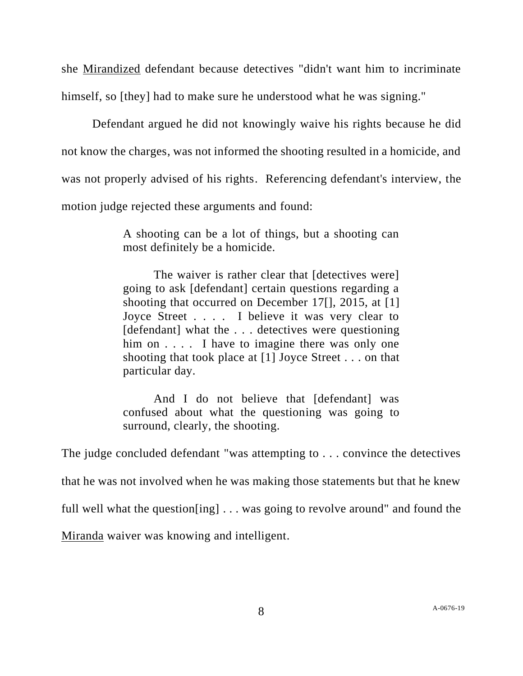she Mirandized defendant because detectives "didn't want him to incriminate himself, so [they] had to make sure he understood what he was signing."

Defendant argued he did not knowingly waive his rights because he did not know the charges, was not informed the shooting resulted in a homicide, and was not properly advised of his rights. Referencing defendant's interview, the motion judge rejected these arguments and found:

> A shooting can be a lot of things, but a shooting can most definitely be a homicide.

> The waiver is rather clear that *[detectives were]* going to ask [defendant] certain questions regarding a shooting that occurred on December 17<sup>[]</sup>, 2015, at <sup>[1]</sup> Joyce Street . . . . I believe it was very clear to [defendant] what the ... detectives were questioning him on . . . . I have to imagine there was only one shooting that took place at [1] Joyce Street . . . on that particular day.

> And I do not believe that [defendant] was confused about what the questioning was going to surround, clearly, the shooting.

The judge concluded defendant "was attempting to . . . convince the detectives that he was not involved when he was making those statements but that he knew full well what the question[ing] . . . was going to revolve around" and found the Miranda waiver was knowing and intelligent.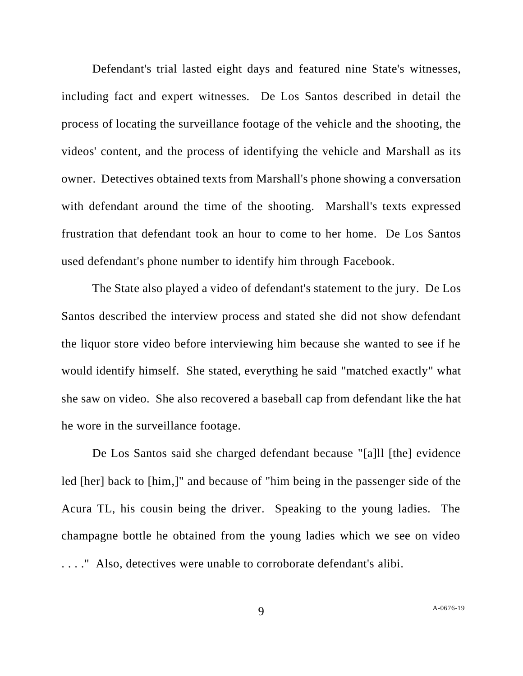Defendant's trial lasted eight days and featured nine State's witnesses, including fact and expert witnesses. De Los Santos described in detail the process of locating the surveillance footage of the vehicle and the shooting, the videos' content, and the process of identifying the vehicle and Marshall as its owner. Detectives obtained texts from Marshall's phone showing a conversation with defendant around the time of the shooting. Marshall's texts expressed frustration that defendant took an hour to come to her home. De Los Santos used defendant's phone number to identify him through Facebook.

The State also played a video of defendant's statement to the jury. De Los Santos described the interview process and stated she did not show defendant the liquor store video before interviewing him because she wanted to see if he would identify himself. She stated, everything he said "matched exactly" what she saw on video. She also recovered a baseball cap from defendant like the hat he wore in the surveillance footage.

De Los Santos said she charged defendant because "[a]ll [the] evidence led [her] back to [him,]" and because of "him being in the passenger side of the Acura TL, his cousin being the driver. Speaking to the young ladies. The champagne bottle he obtained from the young ladies which we see on video . . . ." Also, detectives were unable to corroborate defendant's alibi.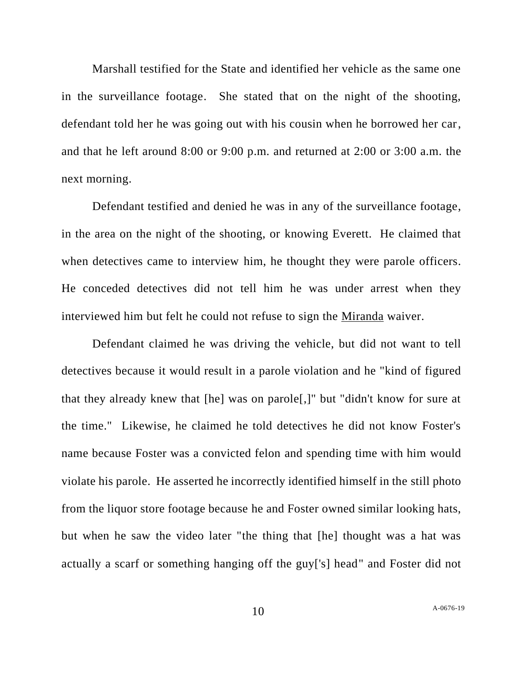Marshall testified for the State and identified her vehicle as the same one in the surveillance footage. She stated that on the night of the shooting, defendant told her he was going out with his cousin when he borrowed her car, and that he left around 8:00 or 9:00 p.m. and returned at 2:00 or 3:00 a.m. the next morning.

Defendant testified and denied he was in any of the surveillance footage, in the area on the night of the shooting, or knowing Everett. He claimed that when detectives came to interview him, he thought they were parole officers. He conceded detectives did not tell him he was under arrest when they interviewed him but felt he could not refuse to sign the Miranda waiver.

Defendant claimed he was driving the vehicle, but did not want to tell detectives because it would result in a parole violation and he "kind of figured that they already knew that [he] was on parole[,]" but "didn't know for sure at the time." Likewise, he claimed he told detectives he did not know Foster's name because Foster was a convicted felon and spending time with him would violate his parole. He asserted he incorrectly identified himself in the still photo from the liquor store footage because he and Foster owned similar looking hats, but when he saw the video later "the thing that [he] thought was a hat was actually a scarf or something hanging off the guy['s] head" and Foster did not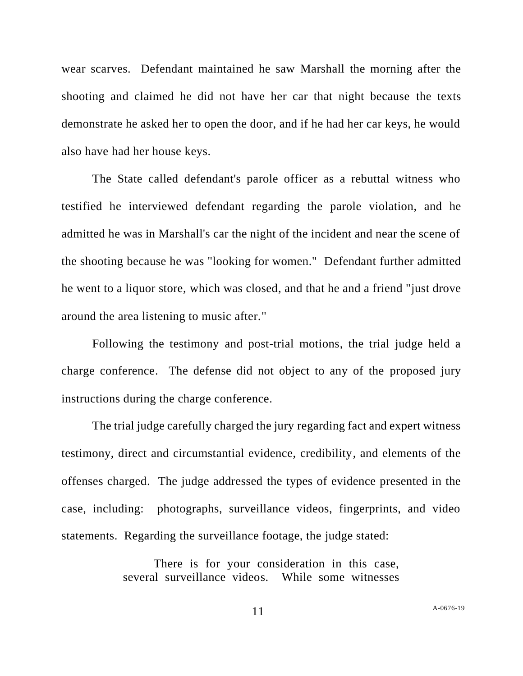wear scarves. Defendant maintained he saw Marshall the morning after the shooting and claimed he did not have her car that night because the texts demonstrate he asked her to open the door, and if he had her car keys, he would also have had her house keys.

The State called defendant's parole officer as a rebuttal witness who testified he interviewed defendant regarding the parole violation, and he admitted he was in Marshall's car the night of the incident and near the scene of the shooting because he was "looking for women." Defendant further admitted he went to a liquor store, which was closed, and that he and a friend "just drove around the area listening to music after."

Following the testimony and post-trial motions, the trial judge held a charge conference. The defense did not object to any of the proposed jury instructions during the charge conference.

The trial judge carefully charged the jury regarding fact and expert witness testimony, direct and circumstantial evidence, credibility, and elements of the offenses charged. The judge addressed the types of evidence presented in the case, including: photographs, surveillance videos, fingerprints, and video statements. Regarding the surveillance footage, the judge stated:

> There is for your consideration in this case, several surveillance videos. While some witnesses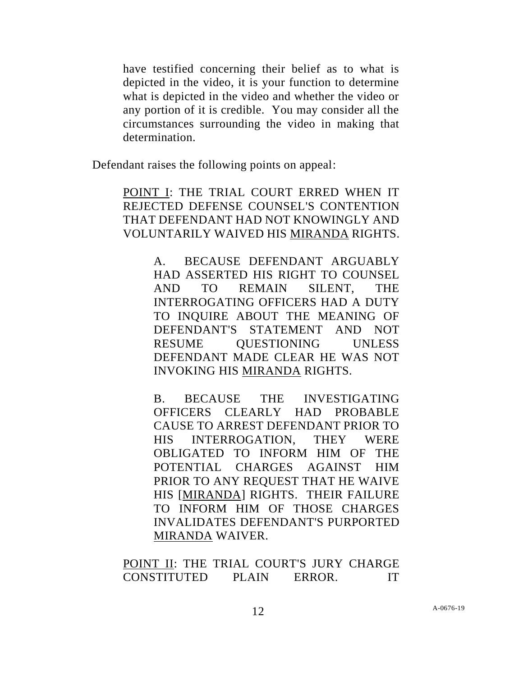have testified concerning their belief as to what is depicted in the video, it is your function to determine what is depicted in the video and whether the video or any portion of it is credible. You may consider all the circumstances surrounding the video in making that determination.

Defendant raises the following points on appeal:

POINT I: THE TRIAL COURT ERRED WHEN IT REJECTED DEFENSE COUNSEL'S CONTENTION THAT DEFENDANT HAD NOT KNOWINGLY AND VOLUNTARILY WAIVED HIS MIRANDA RIGHTS.

> A. BECAUSE DEFENDANT ARGUABLY HAD ASSERTED HIS RIGHT TO COUNSEL AND TO REMAIN SILENT, THE INTERROGATING OFFICERS HAD A DUTY TO INQUIRE ABOUT THE MEANING OF DEFENDANT'S STATEMENT AND NOT RESUME OUESTIONING UNLESS DEFENDANT MADE CLEAR HE WAS NOT INVOKING HIS MIRANDA RIGHTS.

> B. BECAUSE THE INVESTIGATING OFFICERS CLEARLY HAD PROBABLE CAUSE TO ARREST DEFENDANT PRIOR TO HIS INTERROGATION, THEY WERE OBLIGATED TO INFORM HIM OF THE POTENTIAL CHARGES AGAINST HIM PRIOR TO ANY REQUEST THAT HE WAIVE HIS [MIRANDA] RIGHTS. THEIR FAILURE TO INFORM HIM OF THOSE CHARGES INVALIDATES DEFENDANT'S PURPORTED MIRANDA WAIVER.

POINT II: THE TRIAL COURT'S JURY CHARGE CONSTITUTED PLAIN ERROR. IT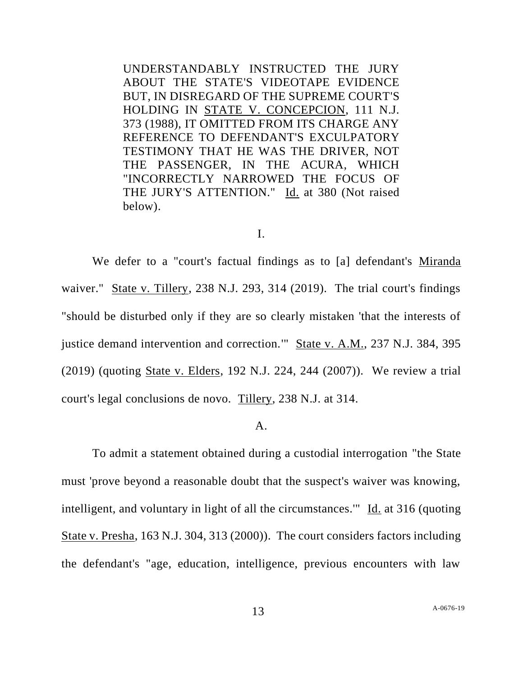UNDERSTANDABLY INSTRUCTED THE JURY ABOUT THE STATE'S VIDEOTAPE EVIDENCE BUT, IN DISREGARD OF THE SUPREME COURT'S HOLDING IN STATE V. CONCEPCION, 111 N.J. 373 (1988), IT OMITTED FROM ITS CHARGE ANY REFERENCE TO DEFENDANT'S EXCULPATORY TESTIMONY THAT HE WAS THE DRIVER, NOT THE PASSENGER, IN THE ACURA, WHICH "INCORRECTLY NARROWED THE FOCUS OF THE JURY'S ATTENTION." Id. at 380 (Not raised below).

#### I.

We defer to a "court's factual findings as to [a] defendant's Miranda waiver." State v. Tillery, 238 N.J. 293, 314 (2019). The trial court's findings "should be disturbed only if they are so clearly mistaken 'that the interests of justice demand intervention and correction." State v. A.M., 237 N.J. 384, 395 (2019) (quoting State v. Elders, 192 N.J. 224, 244 (2007)). We review a trial court's legal conclusions de novo. Tillery, 238 N.J. at 314.

## A.

To admit a statement obtained during a custodial interrogation "the State must 'prove beyond a reasonable doubt that the suspect's waiver was knowing, intelligent, and voluntary in light of all the circumstances.'" Id. at 316 (quoting State v. Presha, 163 N.J. 304, 313 (2000)). The court considers factors including the defendant's "age, education, intelligence, previous encounters with law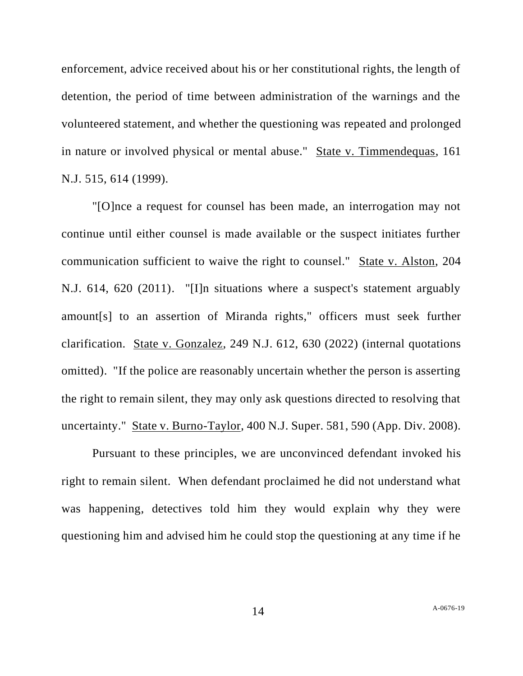enforcement, advice received about his or her constitutional rights, the length of detention, the period of time between administration of the warnings and the volunteered statement, and whether the questioning was repeated and prolonged in nature or involved physical or mental abuse." State v. Timmendequas, 161 N.J. 515, 614 (1999).

"[O]nce a request for counsel has been made, an interrogation may not continue until either counsel is made available or the suspect initiates further communication sufficient to waive the right to counsel." State v. Alston, 204 N.J. 614, 620 (2011). "[I]n situations where a suspect's statement arguably amount[s] to an assertion of Miranda rights," officers must seek further clarification. State v. Gonzalez, 249 N.J. 612, 630 (2022) (internal quotations omitted). "If the police are reasonably uncertain whether the person is asserting the right to remain silent, they may only ask questions directed to resolving that uncertainty." State v. Burno-Taylor, 400 N.J. Super. 581, 590 (App. Div. 2008).

Pursuant to these principles, we are unconvinced defendant invoked his right to remain silent. When defendant proclaimed he did not understand what was happening, detectives told him they would explain why they were questioning him and advised him he could stop the questioning at any time if he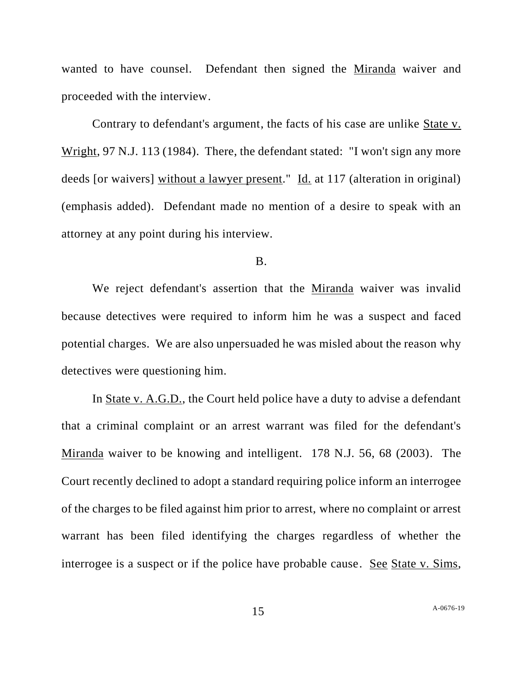wanted to have counsel. Defendant then signed the Miranda waiver and proceeded with the interview.

Contrary to defendant's argument, the facts of his case are unlike State v. Wright, 97 N.J. 113 (1984). There, the defendant stated: "I won't sign any more deeds [or waivers] without a lawyer present." Id. at 117 (alteration in original) (emphasis added). Defendant made no mention of a desire to speak with an attorney at any point during his interview.

#### B.

We reject defendant's assertion that the Miranda waiver was invalid because detectives were required to inform him he was a suspect and faced potential charges. We are also unpersuaded he was misled about the reason why detectives were questioning him.

In State v. A.G.D., the Court held police have a duty to advise a defendant that a criminal complaint or an arrest warrant was filed for the defendant's Miranda waiver to be knowing and intelligent. 178 N.J. 56, 68 (2003). The Court recently declined to adopt a standard requiring police inform an interrogee of the charges to be filed against him prior to arrest, where no complaint or arrest warrant has been filed identifying the charges regardless of whether the interrogee is a suspect or if the police have probable cause. See State v. Sims,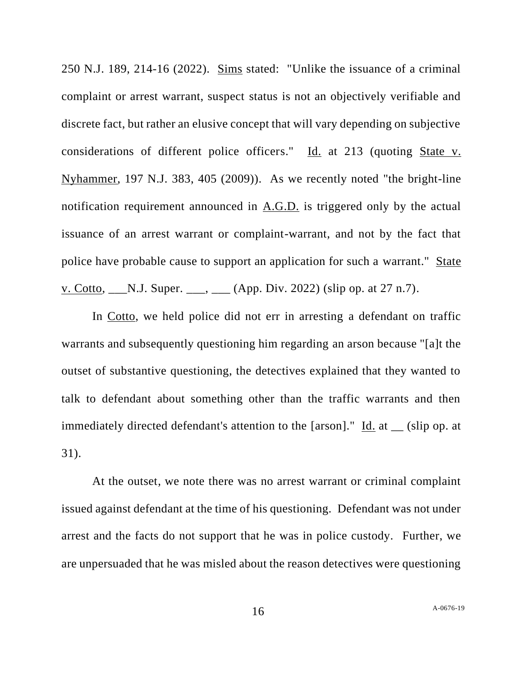250 N.J. 189, 214-16 (2022). Sims stated: "Unlike the issuance of a criminal complaint or arrest warrant, suspect status is not an objectively verifiable and discrete fact, but rather an elusive concept that will vary depending on subjective considerations of different police officers." Id. at 213 (quoting State v. Nyhammer, 197 N.J. 383, 405 (2009)). As we recently noted "the bright-line notification requirement announced in A.G.D. is triggered only by the actual issuance of an arrest warrant or complaint-warrant, and not by the fact that police have probable cause to support an application for such a warrant." State v. Cotto, \_\_\_N.J. Super. \_\_\_, \_\_\_ (App. Div. 2022) (slip op. at 27 n.7).

In Cotto, we held police did not err in arresting a defendant on traffic warrants and subsequently questioning him regarding an arson because "[a]t the outset of substantive questioning, the detectives explained that they wanted to talk to defendant about something other than the traffic warrants and then immediately directed defendant's attention to the [arson]."  $\underline{Id}$  at \_\_ (slip op. at 31).

At the outset, we note there was no arrest warrant or criminal complaint issued against defendant at the time of his questioning. Defendant was not under arrest and the facts do not support that he was in police custody. Further, we are unpersuaded that he was misled about the reason detectives were questioning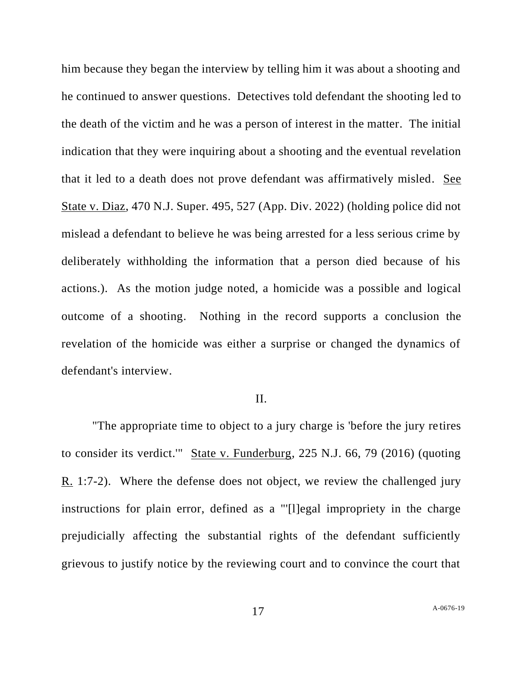him because they began the interview by telling him it was about a shooting and he continued to answer questions. Detectives told defendant the shooting led to the death of the victim and he was a person of interest in the matter. The initial indication that they were inquiring about a shooting and the eventual revelation that it led to a death does not prove defendant was affirmatively misled. See State v. Diaz, 470 N.J. Super. 495, 527 (App. Div. 2022) (holding police did not mislead a defendant to believe he was being arrested for a less serious crime by deliberately withholding the information that a person died because of his actions.). As the motion judge noted, a homicide was a possible and logical outcome of a shooting. Nothing in the record supports a conclusion the revelation of the homicide was either a surprise or changed the dynamics of defendant's interview.

## II.

"The appropriate time to object to a jury charge is 'before the jury retires to consider its verdict.'" State v. Funderburg, 225 N.J. 66, 79 (2016) (quoting R. 1:7-2). Where the defense does not object, we review the challenged jury instructions for plain error, defined as a "'[l]egal impropriety in the charge prejudicially affecting the substantial rights of the defendant sufficiently grievous to justify notice by the reviewing court and to convince the court that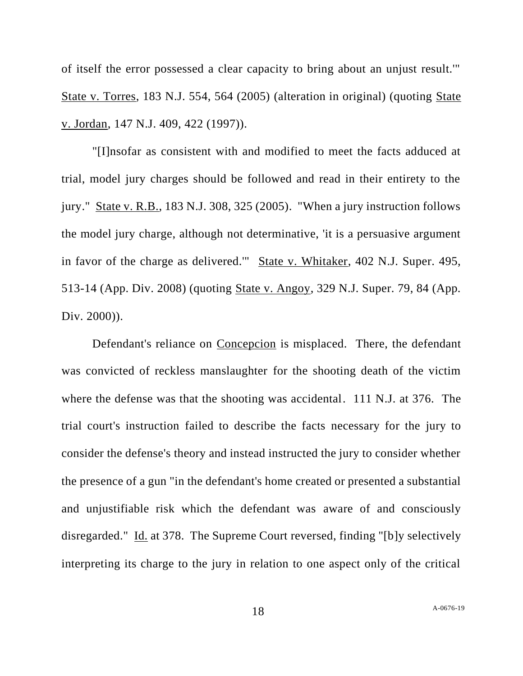of itself the error possessed a clear capacity to bring about an unjust result.'" State v. Torres, 183 N.J. 554, 564 (2005) (alteration in original) (quoting State v. Jordan, 147 N.J. 409, 422 (1997)).

"[I]nsofar as consistent with and modified to meet the facts adduced at trial, model jury charges should be followed and read in their entirety to the jury." State v. R.B., 183 N.J. 308, 325 (2005). "When a jury instruction follows the model jury charge, although not determinative, 'it is a persuasive argument in favor of the charge as delivered.'" State v. Whitaker, 402 N.J. Super. 495, 513-14 (App. Div. 2008) (quoting State v. Angoy, 329 N.J. Super. 79, 84 (App. Div. 2000)).

Defendant's reliance on Concepcion is misplaced. There, the defendant was convicted of reckless manslaughter for the shooting death of the victim where the defense was that the shooting was accidental. 111 N.J. at 376. The trial court's instruction failed to describe the facts necessary for the jury to consider the defense's theory and instead instructed the jury to consider whether the presence of a gun "in the defendant's home created or presented a substantial and unjustifiable risk which the defendant was aware of and consciously disregarded." Id. at 378. The Supreme Court reversed, finding "[b]y selectively interpreting its charge to the jury in relation to one aspect only of the critical